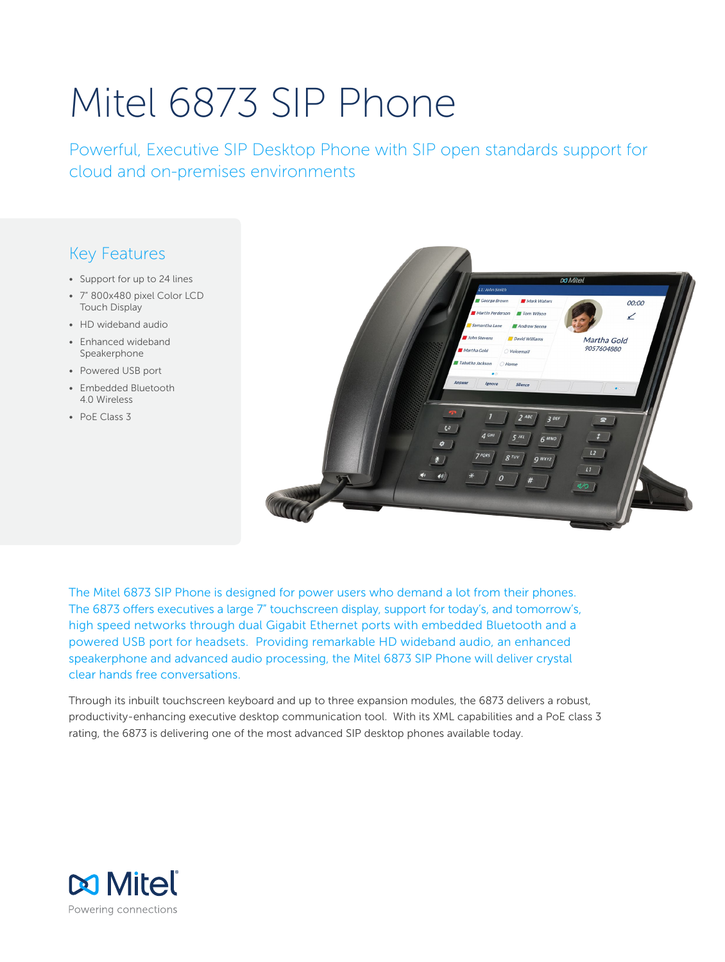# Mitel 6873 SIP Phone

Powerful, Executive SIP Desktop Phone with SIP open standards support for cloud and on-premises environments

# Key Features

- Support for up to 24 lines
- 7" 800x480 pixel Color LCD Touch Display
- HD wideband audio
- Enhanced wideband Speakerphone
- Powered USB port
- Embedded Bluetooth 4.0 Wireless
- PoE Class 3



The Mitel 6873 SIP Phone is designed for power users who demand a lot from their phones. The 6873 offers executives a large 7" touchscreen display, support for today's, and tomorrow's, high speed networks through dual Gigabit Ethernet ports with embedded Bluetooth and a powered USB port for headsets. Providing remarkable HD wideband audio, an enhanced speakerphone and advanced audio processing, the Mitel 6873 SIP Phone will deliver crystal clear hands free conversations.

Through its inbuilt touchscreen keyboard and up to three expansion modules, the 6873 delivers a robust, productivity-enhancing executive desktop communication tool. With its XML capabilities and a PoE class 3 rating, the 6873 is delivering one of the most advanced SIP desktop phones available today.

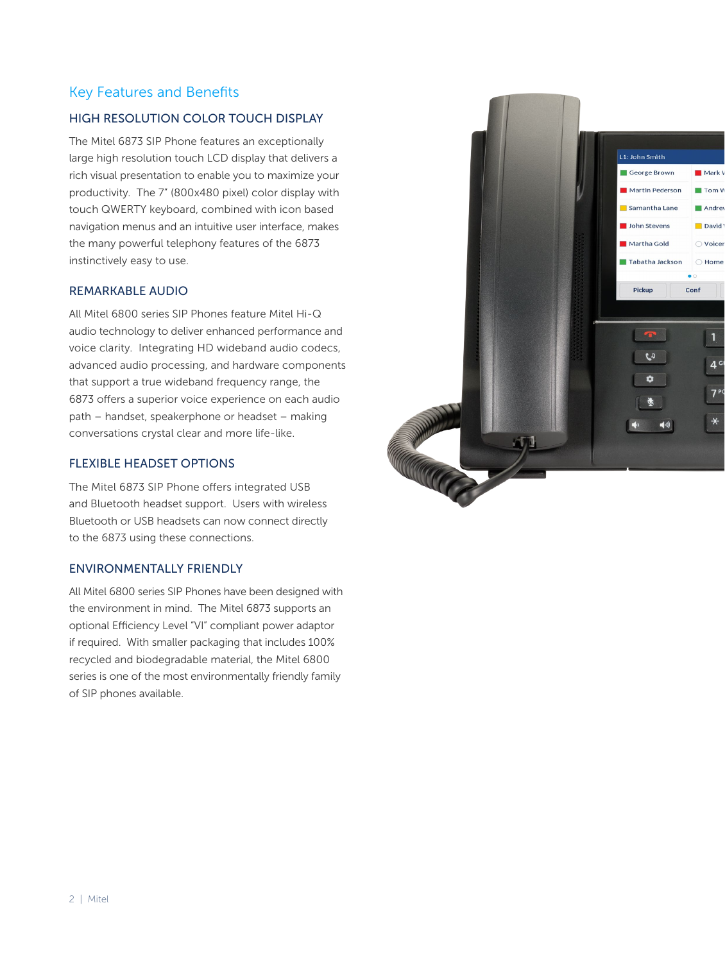# Key Features and Benefits

## HIGH RESOLUTION COLOR TOUCH DISPLAY

The Mitel 6873 SIP Phone features an exceptionally large high resolution touch LCD display that delivers a rich visual presentation to enable you to maximize your productivity. The 7" (800x480 pixel) color display with touch QWERTY keyboard, combined with icon based navigation menus and an intuitive user interface, makes the many powerful telephony features of the 6873 instinctively easy to use.

#### REMARKABLE AUDIO

All Mitel 6800 series SIP Phones feature Mitel Hi-Q audio technology to deliver enhanced performance and voice clarity. Integrating HD wideband audio codecs, advanced audio processing, and hardware components that support a true wideband frequency range, the 6873 offers a superior voice experience on each audio path – handset, speakerphone or headset – making conversations crystal clear and more life-like.

#### FLEXIBLE HEADSET OPTIONS

The Mitel 6873 SIP Phone offers integrated USB and Bluetooth headset support. Users with wireless Bluetooth or USB headsets can now connect directly to the 6873 using these connections.

#### ENVIRONMENTALLY FRIENDLY

All Mitel 6800 series SIP Phones have been designed with the environment in mind. The Mitel 6873 supports an optional Efficiency Level "VI" compliant power adaptor if required. With smaller packaging that includes 100% recycled and biodegradable material, the Mitel 6800 series is one of the most environmentally friendly family of SIP phones available.

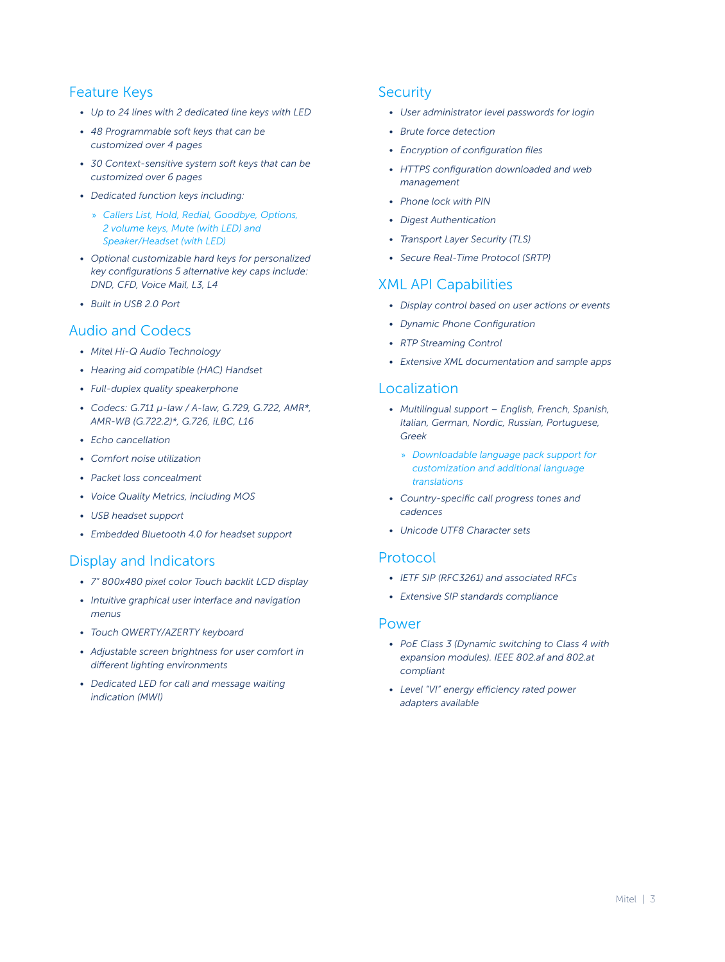# Feature Keys

- *• Up to 24 lines with 2 dedicated line keys with LED*
- *• 48 Programmable soft keys that can be customized over 4 pages*
- *• 30 Context-sensitive system soft keys that can be customized over 6 pages*
- *• Dedicated function keys including:*
	- » *Callers List, Hold, Redial, Goodbye, Options, 2 volume keys, Mute (with LED) and Speaker/Headset (with LED)*
- *• Optional customizable hard keys for personalized key configurations 5 alternative key caps include: DND, CFD, Voice Mail, L3, L4*
- *• Built in USB 2.0 Port*

# Audio and Codecs

- *• Mitel Hi-Q Audio Technology*
- *• Hearing aid compatible (HAC) Handset*
- *• Full-duplex quality speakerphone*
- *• Codecs: G.711 μ-law / A-law, G.729, G.722, AMR\*, AMR-WB (G.722.2)\*, G.726, iLBC, L16*
- *• Echo cancellation*
- *• Comfort noise utilization*
- *• Packet loss concealment*
- *• Voice Quality Metrics, including MOS*
- *• USB headset support*
- *• Embedded Bluetooth 4.0 for headset support*

## Display and Indicators

- *• 7" 800x480 pixel color Touch backlit LCD display*
- *• Intuitive graphical user interface and navigation menus*
- *• Touch QWERTY/AZERTY keyboard*
- *• Adjustable screen brightness for user comfort in different lighting environments*
- *• Dedicated LED for call and message waiting indication (MWI)*

# **Security**

- *• User administrator level passwords for login*
- *• Brute force detection*
- *• Encryption of configuration files*
- *• HTTPS configuration downloaded and web management*
- *• Phone lock with PIN*
- *• Digest Authentication*
- *• Transport Layer Security (TLS)*
- *• Secure Real-Time Protocol (SRTP)*

# XML API Capabilities

- *• Display control based on user actions or events*
- *• Dynamic Phone Configuration*
- *• RTP Streaming Control*
- *• Extensive XML documentation and sample apps*

# Localization

- *• Multilingual support English, French, Spanish, Italian, German, Nordic, Russian, Portuguese, Greek*
	- » *Downloadable language pack support for customization and additional language translations*
- *• Country-specific call progress tones and cadences*
- *• Unicode UTF8 Character sets*

## Protocol

- *• IETF SIP (RFC3261) and associated RFCs*
- *• Extensive SIP standards compliance*

#### Power

- *• PoE Class 3 (Dynamic switching to Class 4 with expansion modules). IEEE 802.af and 802.at compliant*
- *• Level "VI" energy efficiency rated power adapters available*